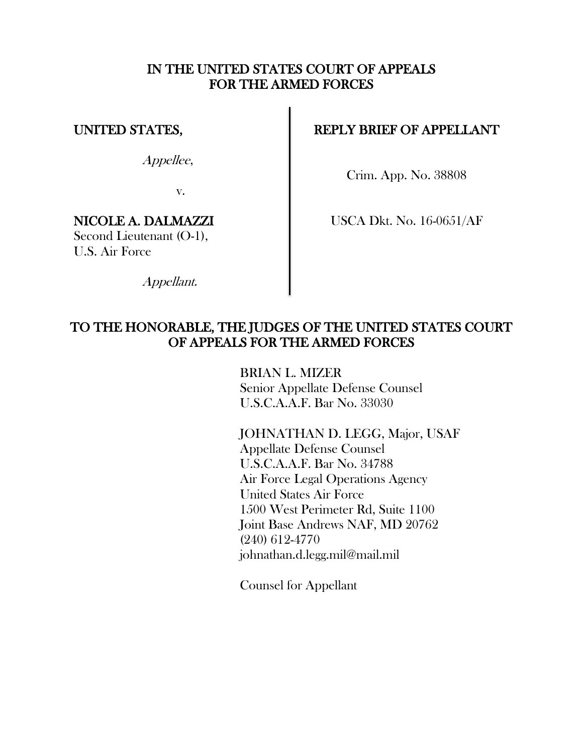## IN THE UNITED STATES COURT OF APPEALS FOR THE ARMED FORCES

## UNITED STATES,

Appellee,

v.

# NICOLE A. DALMAZZI

Second Lieutenant (O-1), U.S. Air Force

REPLY BRIEF OF APPELLANT

Crim. App. No. 38808

USCA Dkt. No. 16-0651/AF

Appellant.

# TO THE HONORABLE, THE JUDGES OF THE UNITED STATES COURT OF APPEALS FOR THE ARMED FORCES

BRIAN L. MIZER Senior Appellate Defense Counsel U.S.C.A.A.F. Bar No. 33030

JOHNATHAN D. LEGG, Major, USAF Appellate Defense Counsel U.S.C.A.A.F. Bar No. 34788 Air Force Legal Operations Agency United States Air Force 1500 West Perimeter Rd, Suite 1100 Joint Base Andrews NAF, MD 20762 (240) 612-4770 johnathan.d.legg.mil@mail.mil

Counsel for Appellant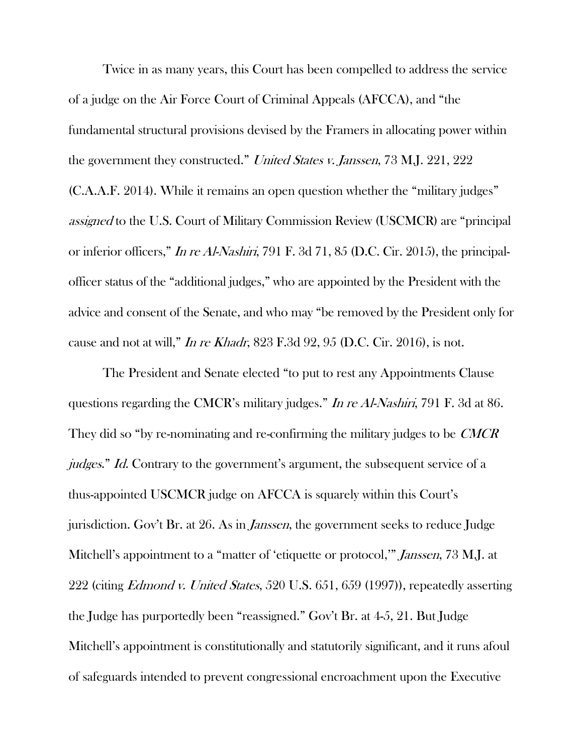Twice in as many years, this Court has been compelled to address the service of a judge on the Air Force Court of Criminal Appeals (AFCCA), and "the fundamental structural provisions devised by the Framers in allocating power within the government they constructed." United States v. Janssen, 73 M.J. 221, 222 (C.A.A.F. 2014). While it remains an open question whether the "military judges" assigned to the U.S. Court of Military Commission Review (USCMCR) are "principal or inferior officers," In re Al-Nashiri, 791 F. 3d 71, 85 (D.C. Cir. 2015), the principalofficer status of the "additional judges," who are appointed by the President with the advice and consent of the Senate, and who may "be removed by the President only for cause and not at will," In re Khadr, 823 F.3d 92, 95 (D.C. Cir. 2016), is not.

The President and Senate elected "to put to rest any Appointments Clause questions regarding the CMCR's military judges." In re Al-Nashiri, 791 F. 3d at 86. They did so "by re-nominating and re-confirming the military judges to be *CMCR* judges." Id. Contrary to the government's argument, the subsequent service of a thus-appointed USCMCR judge on AFCCA is squarely within this Court's jurisdiction. Gov't Br. at 26. As in Janssen, the government seeks to reduce Judge Mitchell's appointment to a "matter of 'etiquette or protocol," *Janssen*, 73 M.J. at 222 (citing *Edmond v. United States*, 520 U.S. 651, 659 (1997)), repeatedly asserting the Judge has purportedly been "reassigned." Gov't Br. at 4-5, 21. But Judge Mitchell's appointment is constitutionally and statutorily significant, and it runs afoul of safeguards intended to prevent congressional encroachment upon the Executive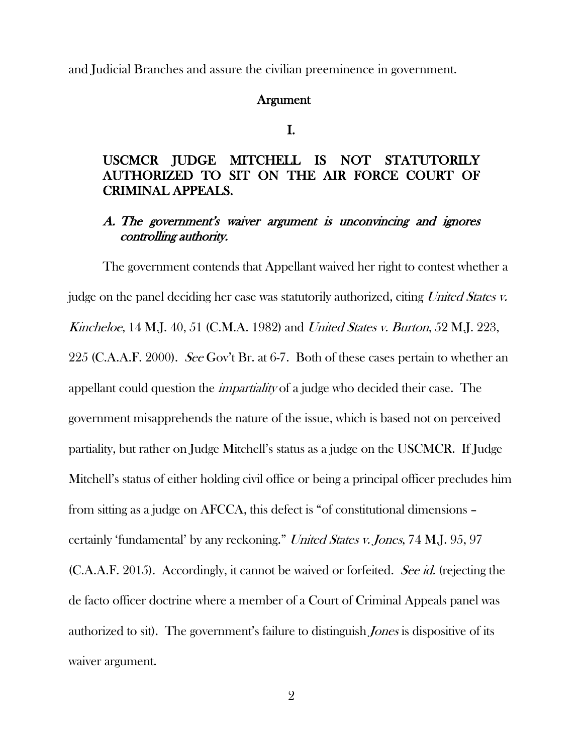and Judicial Branches and assure the civilian preeminence in government.

#### Argument

I.

#### USCMCR JUDGE MITCHELL IS NOT STATUTORILY AUTHORIZED TO SIT ON THE AIR FORCE COURT OF CRIMINAL APPEALS.

## A. The government's waiver argument is unconvincing and ignores controlling authority.

The government contends that Appellant waived her right to contest whether a judge on the panel deciding her case was statutorily authorized, citing United States v. Kincheloe, 14 M.J. 40, 51 (C.M.A. 1982) and United States v. Burton, 52 M.J. 223, 225 (C.A.A.F. 2000). See Gov't Br. at 6-7. Both of these cases pertain to whether an appellant could question the *impartiality* of a judge who decided their case. The government misapprehends the nature of the issue, which is based not on perceived partiality, but rather on Judge Mitchell's status as a judge on the USCMCR. If Judge Mitchell's status of either holding civil office or being a principal officer precludes him from sitting as a judge on AFCCA, this defect is "of constitutional dimensions – certainly 'fundamental' by any reckoning." United States v. Jones, 74 M.J. 95, 97 (C.A.A.F. 2015). Accordingly, it cannot be waived or forfeited. See id. (rejecting the de facto officer doctrine where a member of a Court of Criminal Appeals panel was authorized to sit). The government's failure to distinguish *Jones* is dispositive of its waiver argument.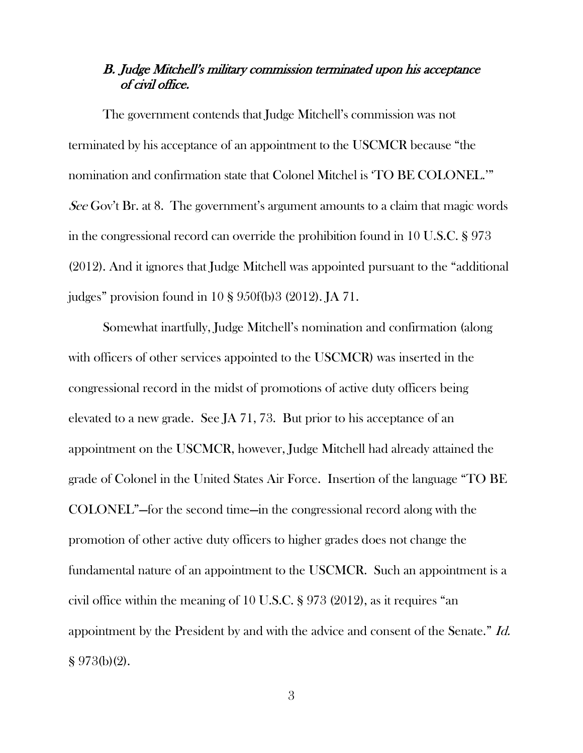## B. Judge Mitchell's military commission terminated upon his acceptance of civil office.

The government contends that Judge Mitchell's commission was not terminated by his acceptance of an appointment to the USCMCR because "the nomination and confirmation state that Colonel Mitchel is 'TO BE COLONEL.'" See Gov't Br. at 8. The government's argument amounts to a claim that magic words in the congressional record can override the prohibition found in 10 U.S.C. § 973 (2012). And it ignores that Judge Mitchell was appointed pursuant to the "additional judges" provision found in 10 § 950f(b)3 (2012). JA 71.

Somewhat inartfully, Judge Mitchell's nomination and confirmation (along with officers of other services appointed to the USCMCR) was inserted in the congressional record in the midst of promotions of active duty officers being elevated to a new grade. See JA 71, 73. But prior to his acceptance of an appointment on the USCMCR, however, Judge Mitchell had already attained the grade of Colonel in the United States Air Force. Insertion of the language "TO BE COLONEL"—for the second time—in the congressional record along with the promotion of other active duty officers to higher grades does not change the fundamental nature of an appointment to the USCMCR. Such an appointment is a civil office within the meaning of 10 U.S.C. § 973 (2012), as it requires "an appointment by the President by and with the advice and consent of the Senate." Id. § 973(b)(2).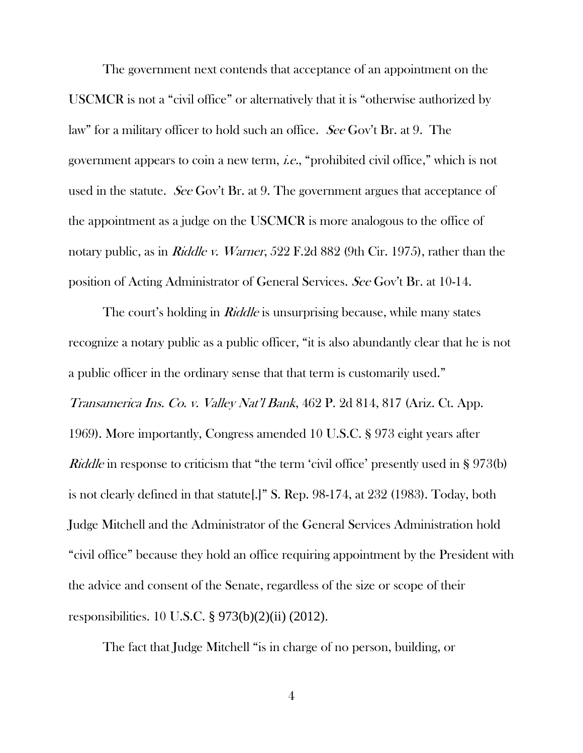The government next contends that acceptance of an appointment on the USCMCR is not a "civil office" or alternatively that it is "otherwise authorized by law" for a military officer to hold such an office. See Gov't Br. at 9. The government appears to coin a new term, i.e., "prohibited civil office," which is not used in the statute. See Gov't Br. at 9. The government argues that acceptance of the appointment as a judge on the USCMCR is more analogous to the office of notary public, as in *Riddle v. Warner*, 522 F.2d 882 (9th Cir. 1975), rather than the position of Acting Administrator of General Services. See Gov't Br. at 10-14.

The court's holding in *Riddle* is unsurprising because, while many states recognize a notary public as a public officer, "it is also abundantly clear that he is not a public officer in the ordinary sense that that term is customarily used." Transamerica Ins. Co. v. Valley Nat'l Bank, 462 P. 2d 814, 817 (Ariz. Ct. App. 1969). More importantly, Congress amended 10 U.S.C. § 973 eight years after Riddle in response to criticism that "the term 'civil office' presently used in § 973(b) is not clearly defined in that statute[.]" S. Rep. 98-174, at 232 (1983). Today, both Judge Mitchell and the Administrator of the General Services Administration hold "civil office" because they hold an office requiring appointment by the President with the advice and consent of the Senate, regardless of the size or scope of their responsibilities. 10 U.S.C. § 973(b)(2)(ii) (2012).

The fact that Judge Mitchell "is in charge of no person, building, or

4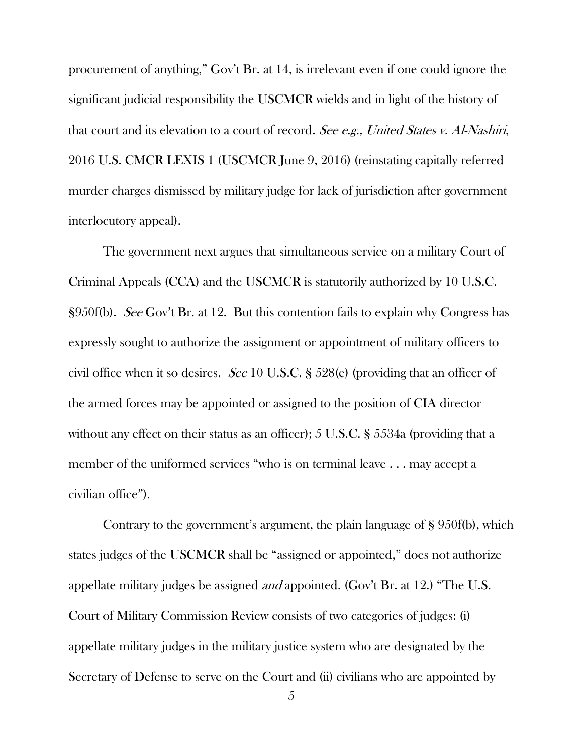procurement of anything," Gov't Br. at 14, is irrelevant even if one could ignore the significant judicial responsibility the USCMCR wields and in light of the history of that court and its elevation to a court of record. See e.g., United States v. Al-Nashiri, 2016 U.S. CMCR LEXIS 1 (USCMCR June 9, 2016) (reinstating capitally referred murder charges dismissed by military judge for lack of jurisdiction after government interlocutory appeal).

The government next argues that simultaneous service on a military Court of Criminal Appeals (CCA) and the USCMCR is statutorily authorized by 10 U.S.C. §950f(b). See Gov't Br. at 12. But this contention fails to explain why Congress has expressly sought to authorize the assignment or appointment of military officers to civil office when it so desires. See 10 U.S.C. § 528(e) (providing that an officer of the armed forces may be appointed or assigned to the position of CIA director without any effect on their status as an officer); 5 U.S.C. § 5534a (providing that a member of the uniformed services "who is on terminal leave . . . may accept a civilian office").

Contrary to the government's argument, the plain language of § 950f(b), which states judges of the USCMCR shall be "assigned or appointed," does not authorize appellate military judges be assigned and appointed. (Gov't Br. at 12.) "The U.S. Court of Military Commission Review consists of two categories of judges: (i) appellate military judges in the military justice system who are designated by the Secretary of Defense to serve on the Court and (ii) civilians who are appointed by

5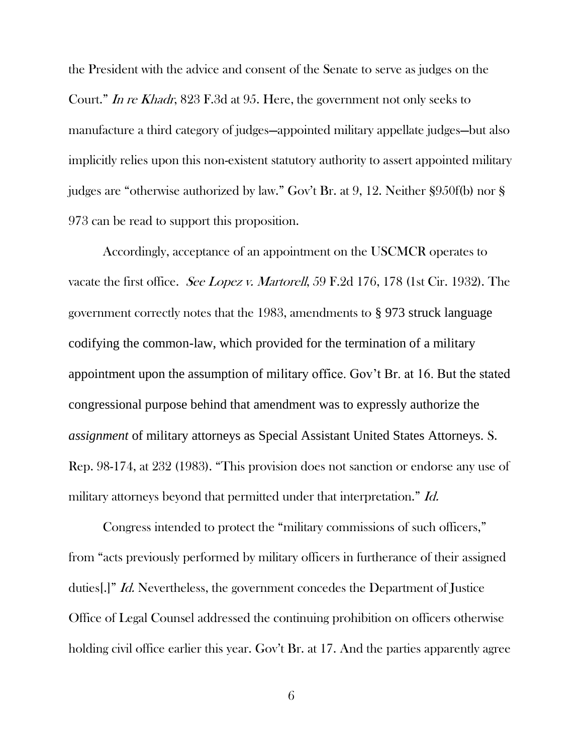the President with the advice and consent of the Senate to serve as judges on the Court." In re Khadr, 823 F.3d at 95. Here, the government not only seeks to manufacture a third category of judges—appointed military appellate judges—but also implicitly relies upon this non-existent statutory authority to assert appointed military judges are "otherwise authorized by law." Gov't Br. at 9, 12. Neither §950f(b) nor § 973 can be read to support this proposition.

Accordingly, acceptance of an appointment on the USCMCR operates to vacate the first office. See Lopez v. Martorell, 59 F.2d 176, 178 (1st Cir. 1932). The government correctly notes that the 1983, amendments to § 973 struck language codifying the common-law, which provided for the termination of a military appointment upon the assumption of military office. Gov't Br. at 16. But the stated congressional purpose behind that amendment was to expressly authorize the *assignment* of military attorneys as Special Assistant United States Attorneys. S. Rep. 98-174, at 232 (1983). "This provision does not sanction or endorse any use of military attorneys beyond that permitted under that interpretation." Id.

Congress intended to protect the "military commissions of such officers," from "acts previously performed by military officers in furtherance of their assigned duties[.]" Id. Nevertheless, the government concedes the Department of Justice Office of Legal Counsel addressed the continuing prohibition on officers otherwise holding civil office earlier this year. Gov't Br. at 17. And the parties apparently agree

6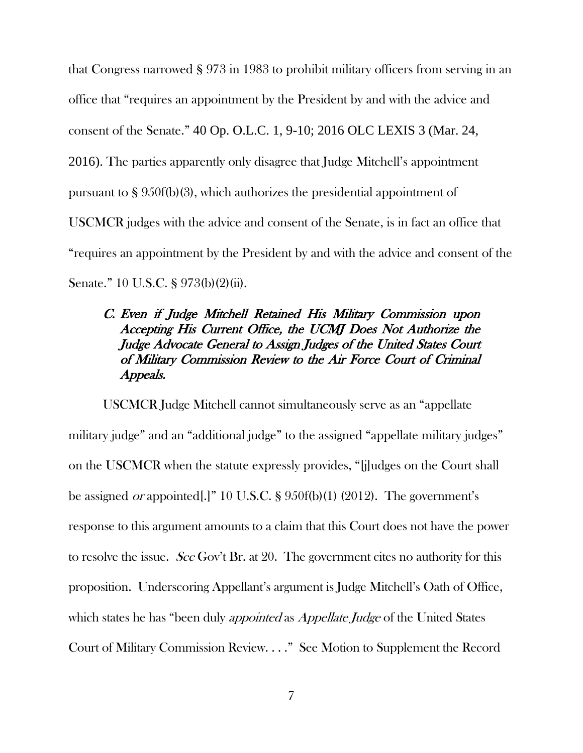that Congress narrowed § 973 in 1983 to prohibit military officers from serving in an office that "requires an appointment by the President by and with the advice and consent of the Senate." 40 Op. O.L.C. 1, 9-10; 2016 OLC LEXIS 3 (Mar. 24, 2016). The parties apparently only disagree that Judge Mitchell's appointment pursuant to § 950f(b)(3), which authorizes the presidential appointment of USCMCR judges with the advice and consent of the Senate, is in fact an office that "requires an appointment by the President by and with the advice and consent of the Senate." 10 U.S.C. § 973(b)(2)(ii).

## C. Even if Judge Mitchell Retained His Military Commission upon Accepting His Current Office, the UCMJ Does Not Authorize the Judge Advocate General to Assign Judges of the United States Court of Military Commission Review to the Air Force Court of Criminal Appeals.

USCMCR Judge Mitchell cannot simultaneously serve as an "appellate military judge" and an "additional judge" to the assigned "appellate military judges" on the USCMCR when the statute expressly provides, "[j]udges on the Court shall be assigned or appointed[.]" 10 U.S.C. § 950f(b)(1) (2012). The government's response to this argument amounts to a claim that this Court does not have the power to resolve the issue. See Gov't Br. at 20. The government cites no authority for this proposition. Underscoring Appellant's argument is Judge Mitchell's Oath of Office, which states he has "been duly *appointed* as *Appellate Judge* of the United States Court of Military Commission Review. . . ." See Motion to Supplement the Record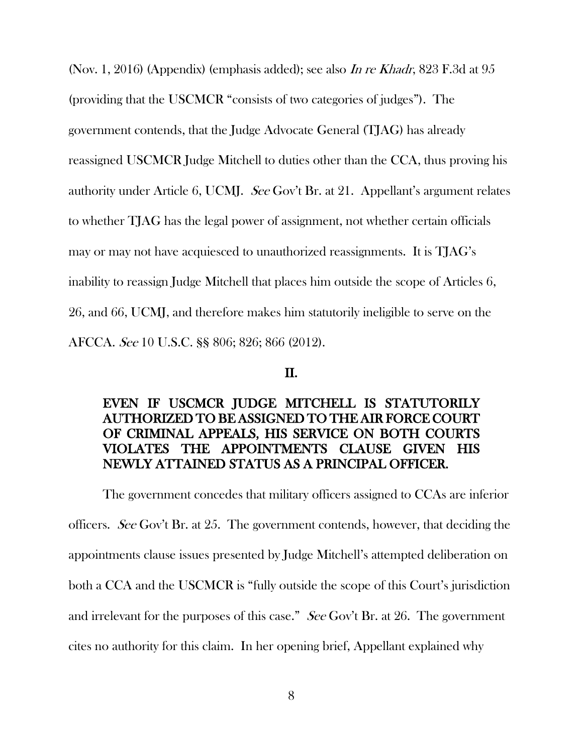(Nov. 1, 2016) (Appendix) (emphasis added); see also In re Khadr, 823 F.3d at 95 (providing that the USCMCR "consists of two categories of judges"). The government contends, that the Judge Advocate General (TJAG) has already reassigned USCMCR Judge Mitchell to duties other than the CCA, thus proving his authority under Article 6, UCMJ. See Gov't Br. at 21. Appellant's argument relates to whether TJAG has the legal power of assignment, not whether certain officials may or may not have acquiesced to unauthorized reassignments. It is TJAG's inability to reassign Judge Mitchell that places him outside the scope of Articles 6, 26, and 66, UCMJ, and therefore makes him statutorily ineligible to serve on the AFCCA. See 10 U.S.C. §§ 806; 826; 866 (2012).

#### II.

## EVEN IF USCMCR JUDGE MITCHELL IS STATUTORILY AUTHORIZED TO BE ASSIGNED TO THE AIR FORCE COURT OF CRIMINAL APPEALS, HIS SERVICE ON BOTH COURTS VIOLATES THE APPOINTMENTS CLAUSE GIVEN HIS NEWLY ATTAINED STATUS AS A PRINCIPAL OFFICER.

The government concedes that military officers assigned to CCAs are inferior officers. See Gov't Br. at 25. The government contends, however, that deciding the appointments clause issues presented by Judge Mitchell's attempted deliberation on both a CCA and the USCMCR is "fully outside the scope of this Court's jurisdiction and irrelevant for the purposes of this case." See Gov't Br. at 26. The government cites no authority for this claim. In her opening brief, Appellant explained why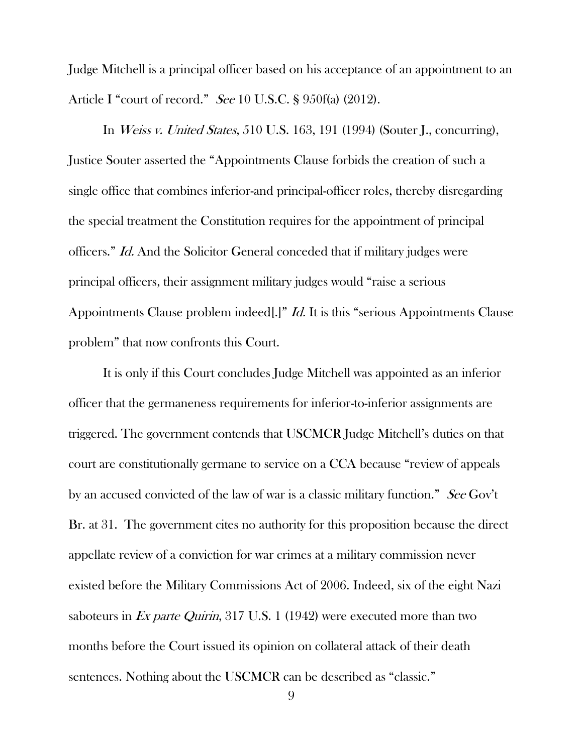Judge Mitchell is a principal officer based on his acceptance of an appointment to an Article I "court of record." See 10 U.S.C. § 950f(a) (2012).

In Weiss v. United States, 510 U.S. 163, 191 (1994) (Souter J., concurring), Justice Souter asserted the "Appointments Clause forbids the creation of such a single office that combines inferior-and principal-officer roles, thereby disregarding the special treatment the Constitution requires for the appointment of principal officers." Id. And the Solicitor General conceded that if military judges were principal officers, their assignment military judges would "raise a serious Appointments Clause problem indeed[.]" *Id.* It is this "serious Appointments Clause problem" that now confronts this Court.

It is only if this Court concludes Judge Mitchell was appointed as an inferior officer that the germaneness requirements for inferior-to-inferior assignments are triggered. The government contends that USCMCR Judge Mitchell's duties on that court are constitutionally germane to service on a CCA because "review of appeals by an accused convicted of the law of war is a classic military function." See Gov't Br. at 31. The government cites no authority for this proposition because the direct appellate review of a conviction for war crimes at a military commission never existed before the Military Commissions Act of 2006. Indeed, six of the eight Nazi saboteurs in Ex parte Quirin, 317 U.S. 1 (1942) were executed more than two months before the Court issued its opinion on collateral attack of their death sentences. Nothing about the USCMCR can be described as "classic."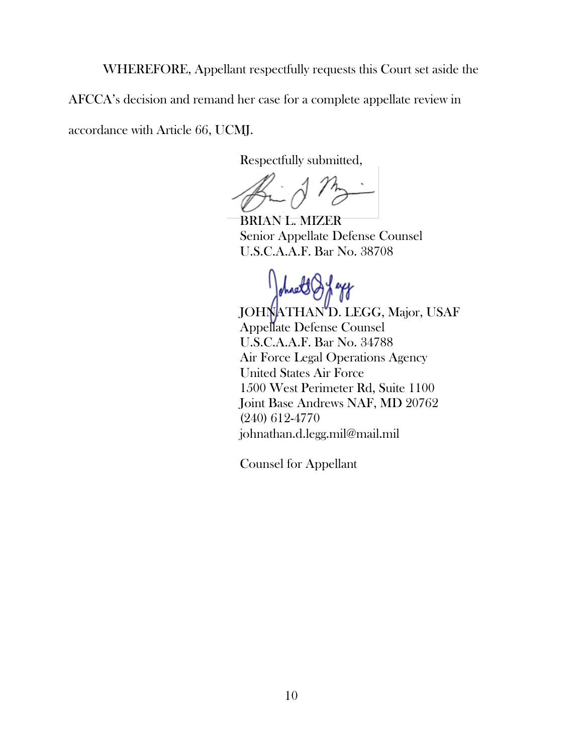WHEREFORE, Appellant respectfully requests this Court set aside the

AFCCA's decision and remand her case for a complete appellate review in

accordance with Article 66, UCMJ.

Respectfully submitted,

BRIAN L. MIZER Senior Appellate Defense Counsel U.S.C.A.A.F. Bar No. 38708

JOHNATHAN<sup>'D</sup>. LEGG, Major, USAF Appellate Defense Counsel U.S.C.A.A.F. Bar No. 34788 Air Force Legal Operations Agency United States Air Force 1500 West Perimeter Rd, Suite 1100 Joint Base Andrews NAF, MD 20762 (240) 612-4770 johnathan.d.legg.mil@mail.mil

Counsel for Appellant